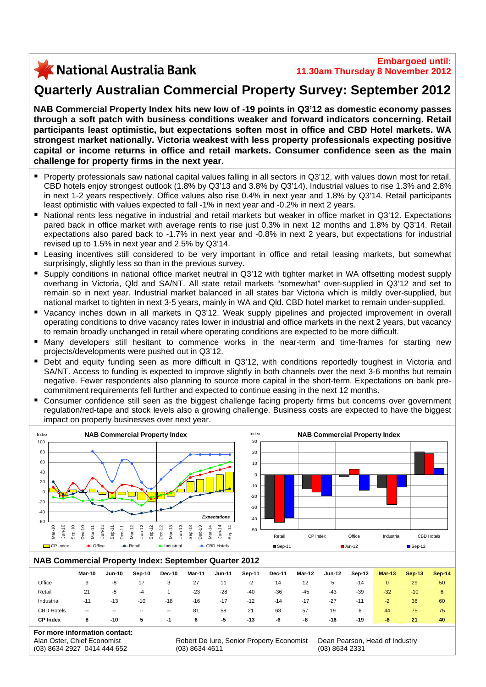# X National Australia Bank

# **Quarterly Australian Commercial Property Survey: September 2012**

**NAB Commercial Property Index hits new low of -19 points in Q3'12 as domestic economy passes through a soft patch with business conditions weaker and forward indicators concerning. Retail participants least optimistic, but expectations soften most in office and CBD Hotel markets. WA strongest market nationally. Victoria weakest with less property professionals expecting positive capital or income returns in office and retail markets. Consumer confidence seen as the main challenge for property firms in the next year.** 

- Property professionals saw national capital values falling in all sectors in Q3'12, with values down most for retail. CBD hotels enjoy strongest outlook (1.8% by Q3'13 and 3.8% by Q3'14). Industrial values to rise 1.3% and 2.8% in next 1-2 years respectively. Office values also rise 0.4% in next year and 1.8% by Q3'14. Retail participants least optimistic with values expected to fall -1% in next year and -0.2% in next 2 years.
- National rents less negative in industrial and retail markets but weaker in office market in Q3'12. Expectations pared back in office market with average rents to rise just 0.3% in next 12 months and 1.8% by Q3'14. Retail expectations also pared back to -1.7% in next year and -0.8% in next 2 years, but expectations for industrial revised up to 1.5% in next year and 2.5% by Q3'14.
- Leasing incentives still considered to be very important in office and retail leasing markets, but somewhat surprisingly, slightly less so than in the previous survey.
- Supply conditions in national office market neutral in Q3'12 with tighter market in WA offsetting modest supply overhang in Victoria, Qld and SA/NT. All state retail markets "somewhat" over-supplied in Q3'12 and set to remain so in next year. Industrial market balanced in all states bar Victoria which is mildly over-supplied, but national market to tighten in next 3-5 years, mainly in WA and Qld. CBD hotel market to remain under-supplied.
- Vacancy inches down in all markets in Q3'12. Weak supply pipelines and projected improvement in overall operating conditions to drive vacancy rates lower in industrial and office markets in the next 2 years, but vacancy to remain broadly unchanged in retail where operating conditions are expected to be more difficult.
- Many developers still hesitant to commence works in the near-term and time-frames for starting new projects/developments were pushed out in Q3'12.
- Debt and equity funding seen as more difficult in Q3'12, with conditions reportedly toughest in Victoria and SA/NT. Access to funding is expected to improve slightly in both channels over the next 3-6 months but remain negative. Fewer respondents also planning to source more capital in the short-term. Expectations on bank precommitment requirements fell further and expected to continue easing in the next 12 months.
- Consumer confidence still seen as the biggest challenge facing property firms but concerns over government regulation/red-tape and stock levels also a growing challenge. Business costs are expected to have the biggest impact on property businesses over next year.



#### **NAB Commercial Property Index: September Quarter 2012**

|                   | Mar-10 | <b>Jun-10</b> | Sep-10                   | <b>Dec-10</b>            | Mar-11 | <b>Jun-11</b> | Sep-11 | <b>Dec-11</b> | Mar-12 | <b>Jun-12</b> | $Sep-12$ | $Mar-13$ | $Sep-13$ | Sep-14 |
|-------------------|--------|---------------|--------------------------|--------------------------|--------|---------------|--------|---------------|--------|---------------|----------|----------|----------|--------|
| Office            | 9      | -8            |                          | 3                        | 27     | 11            | $-2$   | 14            | 12     | 5             | $-14$    | 0        | 29       | 50     |
| Retail            | 21     | -5            | -4                       |                          | $-23$  | $-28$         | -40    | $-36$         | $-45$  | -43           | $-39$    | $-32$    | $-10$    | 6      |
| Industrial        | $-11$  | $-13$         | $-10$                    | $-18$                    | $-16$  | $-17$         | $-12$  | $-14$         | $-17$  | $-27$         | $-11$    | $-2$     | 36       | 60     |
| <b>CBD Hotels</b> | $- -$  | $\sim$        | $\overline{\phantom{a}}$ | $\overline{\phantom{a}}$ | 81     | 58            | 21     | 63            | 57     | 19            | 6        | 44       | 75       | 75     |
| <b>CP Index</b>   | 8      | -10           | 5                        | -1                       | 6      | -5            | $-13$  | -6            | -8     | -16           | -19      | -8       | 21       | 40     |
|                   |        |               |                          |                          |        |               |        |               |        |               |          |          |          |        |

#### **For more information contact:** Alan Oster, Chief Economist

(03) 8634 2927 0414 444 652

Robert De Iure, Senior Property Economist (03) 8634 4611

Dean Pearson, Head of Industry (03) 8634 2331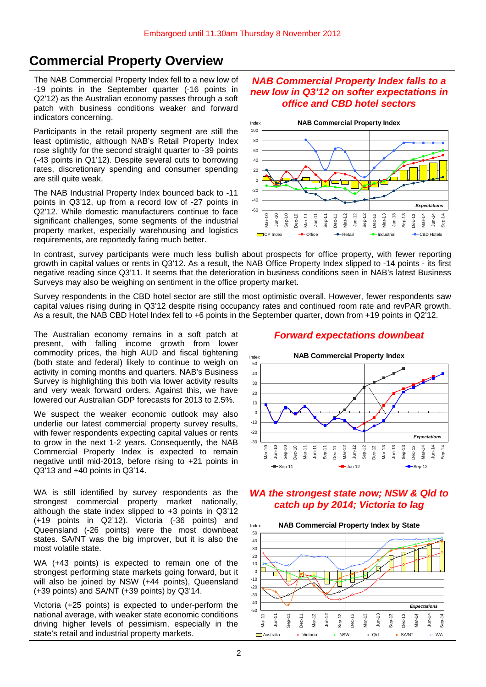## **Commercial Property Overview**

The NAB Commercial Property Index fell to a new low of -19 points in the September quarter (-16 points in Q2'12) as the Australian economy passes through a soft patch with business conditions weaker and forward indicators concerning.

Participants in the retail property segment are still the least optimistic, although NAB's Retail Property Index rose slightly for the second straight quarter to -39 points (-43 points in Q1'12). Despite several cuts to borrowing rates, discretionary spending and consumer spending are still quite weak.

The NAB Industrial Property Index bounced back to -11 points in Q3'12, up from a record low of -27 points in Q2'12. While domestic manufacturers continue to face significant challenges, some segments of the industrial property market, especially warehousing and logistics requirements, are reportedly faring much better.

#### *NAB Commercial Property Index falls to a new low in Q3'12 on softer expectations in office and CBD hotel sectors*



In contrast, survey participants were much less bullish about prospects for office property, with fewer reporting growth in capital values or rents in Q3'12. As a result, the NAB Office Property Index slipped to -14 points - its first negative reading since Q3'11. It seems that the deterioration in business conditions seen in NAB's latest Business Surveys may also be weighing on sentiment in the office property market.

Survey respondents in the CBD hotel sector are still the most optimistic overall. However, fewer respondents saw capital values rising during in Q3'12 despite rising occupancy rates and continued room rate and revPAR growth. As a result, the NAB CBD Hotel Index fell to +6 points in the September quarter, down from +19 points in Q2'12.

The Australian economy remains in a soft patch at present, with falling income growth from lower commodity prices, the high AUD and fiscal tightening (both state and federal) likely to continue to weigh on activity in coming months and quarters. NAB's Business Survey is highlighting this both via lower activity results and very weak forward orders. Against this, we have lowered our Australian GDP forecasts for 2013 to 2.5%.

We suspect the weaker economic outlook may also underlie our latest commercial property survey results, with fewer respondents expecting capital values or rents to grow in the next 1-2 years. Consequently, the NAB Commercial Property Index is expected to remain negative until mid-2013, before rising to +21 points in Q3'13 and +40 points in Q3'14.

WA is still identified by survey respondents as the strongest commercial property market nationally, although the state index slipped to +3 points in Q3'12 (+19 points in Q2'12). Victoria (-36 points) and Queensland (-26 points) were the most downbeat states. SA/NT was the big improver, but it is also the most volatile state.

WA (+43 points) is expected to remain one of the strongest performing state markets going forward, but it will also be joined by NSW (+44 points), Queensland (+39 points) and SA/NT (+39 points) by Q3'14.

Victoria (+25 points) is expected to under-perform the national average, with weaker state economic conditions driving higher levels of pessimism, especially in the state's retail and industrial property markets.

#### *Forward expectations downbeat*



#### *WA the strongest state now; NSW & Qld to catch up by 2014; Victoria to lag*

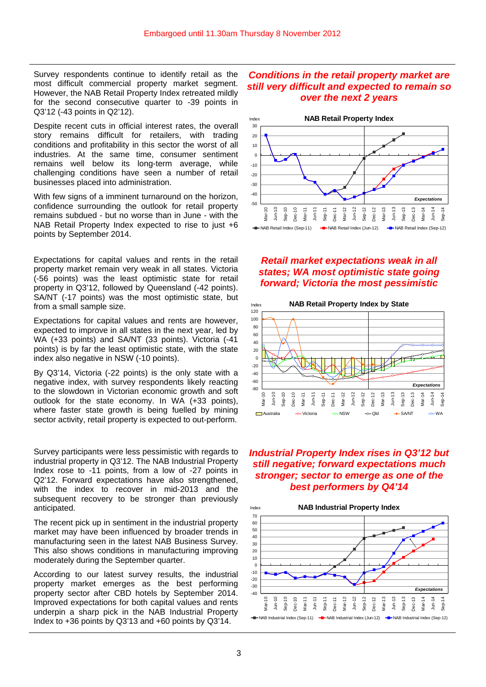Survey respondents continue to identify retail as the most difficult commercial property market segment. However, the NAB Retail Property Index retreated mildly for the second consecutive quarter to -39 points in Q3'12 (-43 points in Q2'12).

Despite recent cuts in official interest rates, the overall story remains difficult for retailers, with trading conditions and profitability in this sector the worst of all industries. At the same time, consumer sentiment remains well below its long-term average, while challenging conditions have seen a number of retail businesses placed into administration.

With few signs of a imminent turnaround on the horizon, confidence surrounding the outlook for retail property remains subdued - but no worse than in June - with the NAB Retail Property Index expected to rise to just +6 points by September 2014.

Expectations for capital values and rents in the retail property market remain very weak in all states. Victoria (-56 points) was the least optimistic state for retail property in Q3'12, followed by Queensland (-42 points). SA/NT (-17 points) was the most optimistic state, but from a small sample size.

Expectations for capital values and rents are however, expected to improve in all states in the next year, led by WA (+33 points) and SA/NT (33 points). Victoria (-41 points) is by far the least optimistic state, with the state index also negative in NSW (-10 points).

By Q3'14, Victoria (-22 points) is the only state with a negative index, with survey respondents likely reacting to the slowdown in Victorian economic growth and soft outlook for the state economy. In WA (+33 points), where faster state growth is being fuelled by mining sector activity, retail property is expected to out-perform.

Survey participants were less pessimistic with regards to industrial property in Q3'12. The NAB Industrial Property Index rose to -11 points, from a low of -27 points in Q2'12. Forward expectations have also strengthened, with the index to recover in mid-2013 and the subsequent recovery to be stronger than previously anticipated.

The recent pick up in sentiment in the industrial property market may have been influenced by broader trends in manufacturing seen in the latest NAB Business Survey. This also shows conditions in manufacturing improving moderately during the September quarter.

According to our latest survey results, the industrial property market emerges as the best performing property sector after CBD hotels by September 2014. Improved expectations for both capital values and rents underpin a sharp pick in the NAB Industrial Property Index to +36 points by Q3'13 and +60 points by Q3'14.

#### *Conditions in the retail property market are still very difficult and expected to remain so over the next 2 years*



#### *Retail market expectations weak in all states; WA most optimistic state going forward; Victoria the most pessimistic*



#### *Industrial Property Index rises in Q3'12 but still negative; forward expectations much stronger; sector to emerge as one of the best performers by Q4'14*

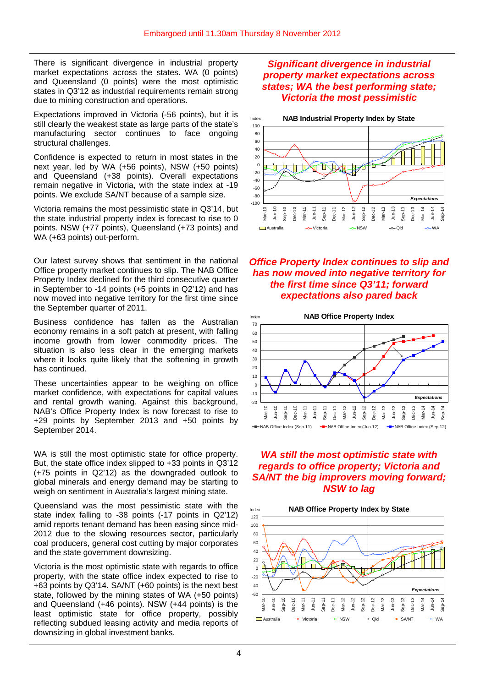There is significant divergence in industrial property market expectations across the states. WA (0 points) and Queensland (0 points) were the most optimistic states in Q3'12 as industrial requirements remain strong due to mining construction and operations.

Expectations improved in Victoria (-56 points), but it is still clearly the weakest state as large parts of the state's manufacturing sector continues to face ongoing structural challenges.

Confidence is expected to return in most states in the next year, led by WA (+56 points), NSW (+50 points) and Queensland (+38 points). Overall expectations remain negative in Victoria, with the state index at -19 points. We exclude SA/NT because of a sample size.

Victoria remains the most pessimistic state in Q3'14, but the state industrial property index is forecast to rise to 0 points. NSW (+77 points), Queensland (+73 points) and WA (+63 points) out-perform.

Our latest survey shows that sentiment in the national Office property market continues to slip. The NAB Office Property Index declined for the third consecutive quarter in September to -14 points (+5 points in Q2'12) and has now moved into negative territory for the first time since the September quarter of 2011.

Business confidence has fallen as the Australian economy remains in a soft patch at present, with falling income growth from lower commodity prices. The situation is also less clear in the emerging markets where it looks quite likely that the softening in growth has continued.

These uncertainties appear to be weighing on office market confidence, with expectations for capital values and rental growth waning. Against this background, NAB's Office Property Index is now forecast to rise to +29 points by September 2013 and +50 points by September 2014.

WA is still the most optimistic state for office property. But, the state office index slipped to +33 points in Q3'12 (+75 points in Q2'12) as the downgraded outlook to global minerals and energy demand may be starting to weigh on sentiment in Australia's largest mining state.

Queensland was the most pessimistic state with the state index falling to -38 points (-17 points in Q2'12) amid reports tenant demand has been easing since mid-2012 due to the slowing resources sector, particularly coal producers, general cost cutting by major corporates and the state government downsizing.

Victoria is the most optimistic state with regards to office property, with the state office index expected to rise to +63 points by Q3'14. SA/NT (+60 points) is the next best state, followed by the mining states of WA (+50 points) and Queensland (+46 points). NSW (+44 points) is the least optimistic state for office property, possibly reflecting subdued leasing activity and media reports of downsizing in global investment banks.

#### *Significant divergence in industrial property market expectations across states; WA the best performing state; Victoria the most pessimistic*



### *Office Property Index continues to slip and has now moved into negative territory for the first time since Q3'11; forward expectations also pared back*



#### *WA still the most optimistic state with regards to office property; Victoria and SA/NT the big improvers moving forward; NSW to lag*

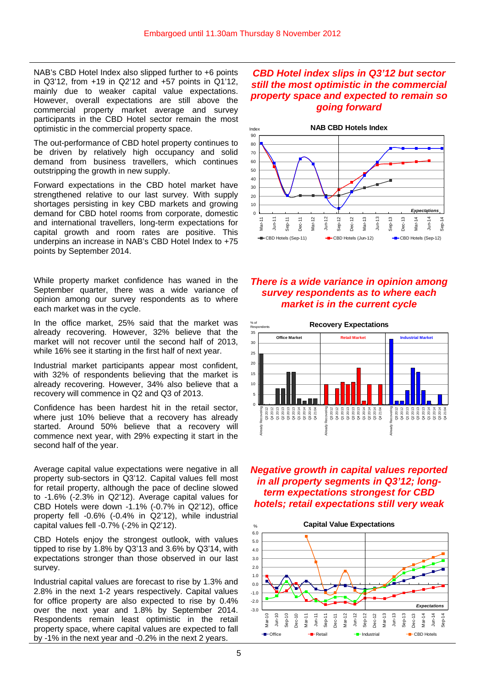NAB's CBD Hotel Index also slipped further to +6 points in Q3'12, from +19 in Q2'12 and +57 points in Q1'12, mainly due to weaker capital value expectations. However, overall expectations are still above the commercial property market average and survey participants in the CBD Hotel sector remain the most optimistic in the commercial property space.

The out-performance of CBD hotel property continues to be driven by relatively high occupancy and solid demand from business travellers, which continues outstripping the growth in new supply.

Forward expectations in the CBD hotel market have strengthened relative to our last survey. With supply shortages persisting in key CBD markets and growing demand for CBD hotel rooms from corporate, domestic and international travellers, long-term expectations for capital growth and room rates are positive. This underpins an increase in NAB's CBD Hotel Index to +75 points by September 2014.

While property market confidence has waned in the September quarter, there was a wide variance of opinion among our survey respondents as to where each market was in the cycle.

In the office market, 25% said that the market was already recovering. However, 32% believe that the market will not recover until the second half of 2013, while 16% see it starting in the first half of next year.

Industrial market participants appear most confident, with 32% of respondents believing that the market is already recovering. However, 34% also believe that a recovery will commence in Q2 and Q3 of 2013.

Confidence has been hardest hit in the retail sector, where just 10% believe that a recovery has already started. Around 50% believe that a recovery will commence next year, with 29% expecting it start in the second half of the year.

Average capital value expectations were negative in all property sub-sectors in Q3'12. Capital values fell most for retail property, although the pace of decline slowed to -1.6% (-2.3% in Q2'12). Average capital values for CBD Hotels were down -1.1% (-0.7% in Q2'12), office property fell -0.6% (-0.4% in Q2'12), while industrial capital values fell -0.7% (-2% in Q2'12).

CBD Hotels enjoy the strongest outlook, with values tipped to rise by 1.8% by Q3'13 and 3.6% by Q3'14, with expectations stronger than those observed in our last survey.

Industrial capital values are forecast to rise by 1.3% and 2.8% in the next 1-2 years respectively. Capital values for office property are also expected to rise by 0.4% over the next year and 1.8% by September 2014. Respondents remain least optimistic in the retail property space, where capital values are expected to fall by -1% in the next year and -0.2% in the next 2 years.

#### *CBD Hotel index slips in Q3'12 but sector still the most optimistic in the commercial property space and expected to remain so going forward*



### *There is a wide variance in opinion among survey respondents as to where each market is in the current cycle*



*Negative growth in capital values reported in all property segments in Q3'12; longterm expectations strongest for CBD hotels; retail expectations still very weak* 

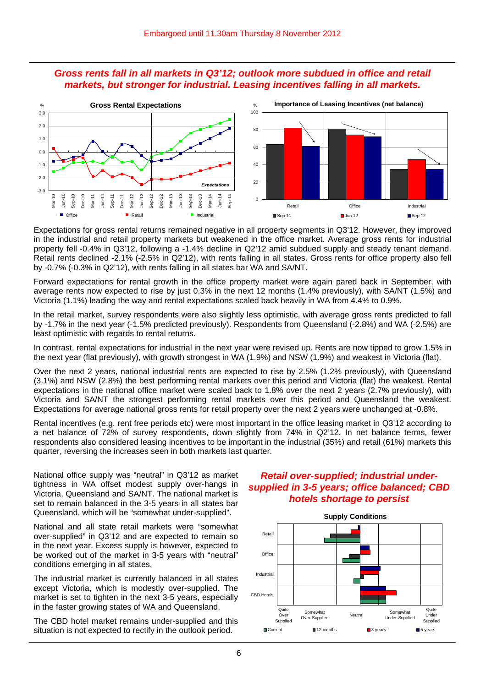#### *Gross rents fall in all markets in Q3'12; outlook more subdued in office and retail markets, but stronger for industrial. Leasing incentives falling in all markets.*



Expectations for gross rental returns remained negative in all property segments in Q3'12. However, they improved in the industrial and retail property markets but weakened in the office market. Average gross rents for industrial property fell -0.4% in Q3'12, following a -1.4% decline in Q2'12 amid subdued supply and steady tenant demand. Retail rents declined -2.1% (-2.5% in Q2'12), with rents falling in all states. Gross rents for office property also fell by -0.7% (-0.3% in Q2'12), with rents falling in all states bar WA and SA/NT.

Forward expectations for rental growth in the office property market were again pared back in September, with average rents now expected to rise by just 0.3% in the next 12 months (1.4% previously), with SA/NT (1.5%) and Victoria (1.1%) leading the way and rental expectations scaled back heavily in WA from 4.4% to 0.9%.

In the retail market, survey respondents were also slightly less optimistic, with average gross rents predicted to fall by -1.7% in the next year (-1.5% predicted previously). Respondents from Queensland (-2.8%) and WA (-2.5%) are least optimistic with regards to rental returns.

In contrast, rental expectations for industrial in the next year were revised up. Rents are now tipped to grow 1.5% in the next year (flat previously), with growth strongest in WA (1.9%) and NSW (1.9%) and weakest in Victoria (flat).

Over the next 2 years, national industrial rents are expected to rise by 2.5% (1.2% previously), with Queensland (3.1%) and NSW (2.8%) the best performing rental markets over this period and Victoria (flat) the weakest. Rental expectations in the national office market were scaled back to 1.8% over the next 2 years (2.7% previously), with Victoria and SA/NT the strongest performing rental markets over this period and Queensland the weakest. Expectations for average national gross rents for retail property over the next 2 years were unchanged at -0.8%.

Rental incentives (e.g. rent free periods etc) were most important in the office leasing market in Q3'12 according to a net balance of 72% of survey respondents, down slightly from 74% in Q2'12. In net balance terms, fewer respondents also considered leasing incentives to be important in the industrial (35%) and retail (61%) markets this quarter, reversing the increases seen in both markets last quarter.

National office supply was "neutral" in Q3'12 as market tightness in WA offset modest supply over-hangs in Victoria, Queensland and SA/NT. The national market is set to remain balanced in the 3-5 years in all states bar Queensland, which will be "somewhat under-supplied".

National and all state retail markets were "somewhat over-supplied" in Q3'12 and are expected to remain so in the next year. Excess supply is however, expected to be worked out of the market in 3-5 years with "neutral" conditions emerging in all states.

The industrial market is currently balanced in all states except Victoria, which is modestly over-supplied. The market is set to tighten in the next 3-5 years, especially in the faster growing states of WA and Queensland.

The CBD hotel market remains under-supplied and this situation is not expected to rectify in the outlook period.

### *Retail over-supplied; industrial undersupplied in 3-5 years; office balanced; CBD hotels shortage to persist*

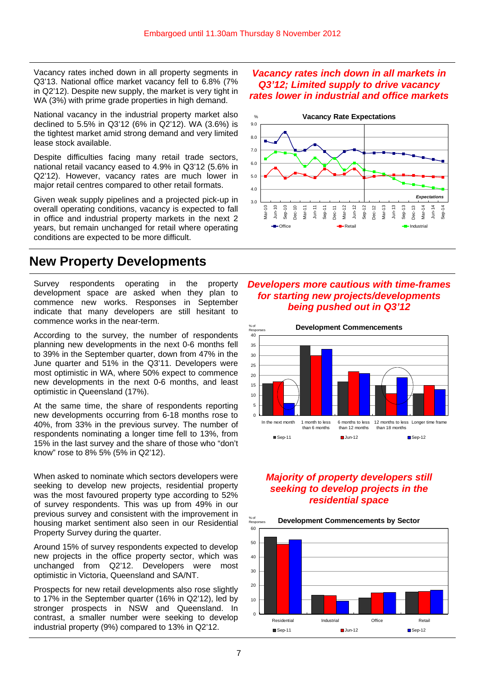Vacancy rates inched down in all property segments in Q3'13. National office market vacancy fell to 6.8% (7% in Q2'12). Despite new supply, the market is very tight in WA (3%) with prime grade properties in high demand.

National vacancy in the industrial property market also declined to 5.5% in Q3'12 (6% in Q2'12). WA (3.6%) is the tightest market amid strong demand and very limited lease stock available.

Despite difficulties facing many retail trade sectors, national retail vacancy eased to 4.9% in Q3'12 (5.6% in Q2'12). However, vacancy rates are much lower in major retail centres compared to other retail formats.

Given weak supply pipelines and a projected pick-up in overall operating conditions, vacancy is expected to fall in office and industrial property markets in the next 2 years, but remain unchanged for retail where operating conditions are expected to be more difficult.

# **New Property Developments**

Survey respondents operating in the property development space are asked when they plan to commence new works. Responses in September indicate that many developers are still hesitant to commence works in the near-term.

According to the survey, the number of respondents planning new developments in the next 0-6 months fell to 39% in the September quarter, down from 47% in the June quarter and 51% in the Q3'11. Developers were most optimistic in WA, where 50% expect to commence new developments in the next 0-6 months, and least optimistic in Queensland (17%).

At the same time, the share of respondents reporting new developments occurring from 6-18 months rose to 40%, from 33% in the previous survey. The number of respondents nominating a longer time fell to 13%, from 15% in the last survey and the share of those who "don't know" rose to 8% 5% (5% in Q2'12).

When asked to nominate which sectors developers were seeking to develop new projects, residential property was the most favoured property type according to 52% of survey respondents. This was up from 49% in our previous survey and consistent with the improvement in housing market sentiment also seen in our Residential Property Survey during the quarter.

Around 15% of survey respondents expected to develop new projects in the office property sector, which was unchanged from Q2'12. Developers were most optimistic in Victoria, Queensland and SA/NT.

Prospects for new retail developments also rose slightly to 17% in the September quarter (16% in Q2'12), led by stronger prospects in NSW and Queensland. In contrast, a smaller number were seeking to develop industrial property (9%) compared to 13% in Q2'12.

#### *Vacancy rates inch down in all markets in Q3'12; Limited supply to drive vacancy rates lower in industrial and office markets*



#### *Developers more cautious with time-frames for starting new projects/developments being pushed out in Q3'12*



### *Majority of property developers still seeking to develop projects in the residential space*



**Development Commencements by Sector** % of Responses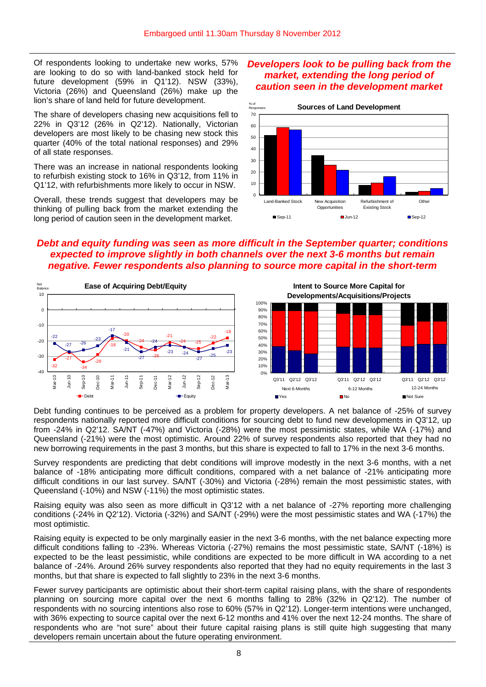Of respondents looking to undertake new works, 57% are looking to do so with land-banked stock held for future development (59% in Q1'12). NSW (33%), Victoria (26%) and Queensland (26%) make up the lion's share of land held for future development.

The share of developers chasing new acquisitions fell to 22% in Q3'12 (26% in Q2'12). Nationally, Victorian developers are most likely to be chasing new stock this quarter (40% of the total national responses) and 29% of all state responses.

There was an increase in national respondents looking to refurbish existing stock to 16% in Q3'12, from 11% in Q1'12, with refurbishments more likely to occur in NSW.

Overall, these trends suggest that developers may be thinking of pulling back from the market extending the long period of caution seen in the development market.

#### *Developers look to be pulling back from the market, extending the long period of caution seen in the development market*



### *Debt and equity funding was seen as more difficult in the September quarter; conditions expected to improve slightly in both channels over the next 3-6 months but remain negative. Fewer respondents also planning to source more capital in the short-term*



Debt funding continues to be perceived as a problem for property developers. A net balance of -25% of survey respondents nationally reported more difficult conditions for sourcing debt to fund new developments in Q3'12, up from -24% in Q2'12. SA/NT (-47%) and Victoria (-28%) were the most pessimistic states, while WA (-17%) and Queensland (-21%) were the most optimistic. Around 22% of survey respondents also reported that they had no new borrowing requirements in the past 3 months, but this share is expected to fall to 17% in the next 3-6 months.

Survey respondents are predicting that debt conditions will improve modestly in the next 3-6 months, with a net balance of -18% anticipating more difficult conditions, compared with a net balance of -21% anticipating more difficult conditions in our last survey. SA/NT (-30%) and Victoria (-28%) remain the most pessimistic states, with Queensland (-10%) and NSW (-11%) the most optimistic states.

Raising equity was also seen as more difficult in Q3'12 with a net balance of -27% reporting more challenging conditions (-24% in Q2'12). Victoria (-32%) and SA/NT (-29%) were the most pessimistic states and WA (-17%) the most optimistic.

Raising equity is expected to be only marginally easier in the next 3-6 months, with the net balance expecting more difficult conditions falling to -23%. Whereas Victoria (-27%) remains the most pessimistic state, SA/NT (-18%) is expected to be the least pessimistic, while conditions are expected to be more difficult in WA according to a net balance of -24%. Around 26% survey respondents also reported that they had no equity requirements in the last 3 months, but that share is expected to fall slightly to 23% in the next 3-6 months.

Fewer survey participants are optimistic about their short-term capital raising plans, with the share of respondents planning on sourcing more capital over the next 6 months falling to 28% (32% in Q2'12). The number of respondents with no sourcing intentions also rose to 60% (57% in Q2'12). Longer-term intentions were unchanged, with 36% expecting to source capital over the next 6-12 months and 41% over the next 12-24 months. The share of respondents who are "not sure" about their future capital raising plans is still quite high suggesting that many developers remain uncertain about the future operating environment.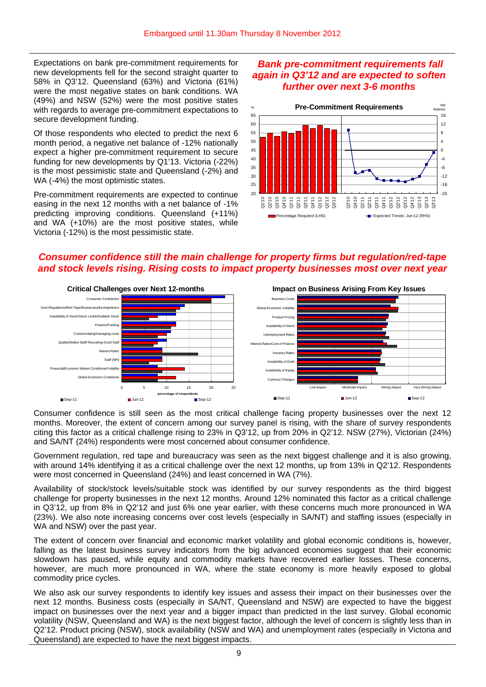Expectations on bank pre-commitment requirements for new developments fell for the second straight quarter to 58% in Q3'12. Queensland (63%) and Victoria (61%) were the most negative states on bank conditions. WA (49%) and NSW (52%) were the most positive states with regards to average pre-commitment expectations to secure development funding.

Of those respondents who elected to predict the next 6 month period, a negative net balance of -12% nationally expect a higher pre-commitment requirement to secure funding for new developments by Q1'13. Victoria (-22%) is the most pessimistic state and Queensland (-2%) and WA (-4%) the most optimistic states.

Pre-commitment requirements are expected to continue easing in the next 12 months with a net balance of -1% predicting improving conditions. Queensland (+11%) and WA (+10%) are the most positive states, while Victoria (-12%) is the most pessimistic state.

### *Bank pre-commitment requirements fall again in Q3'12 and are expected to soften further over next 3-6 months*



#### *Consumer confidence still the main challenge for property firms but regulation/red-tape and stock levels rising. Rising costs to impact property businesses most over next year*



Consumer confidence is still seen as the most critical challenge facing property businesses over the next 12 months. Moreover, the extent of concern among our survey panel is rising, with the share of survey respondents citing this factor as a critical challenge rising to 23% in Q3'12, up from 20% in Q2'12. NSW (27%), Victorian (24%) and SA/NT (24%) respondents were most concerned about consumer confidence.

Government regulation, red tape and bureaucracy was seen as the next biggest challenge and it is also growing, with around 14% identifying it as a critical challenge over the next 12 months, up from 13% in Q2'12. Respondents were most concerned in Queensland (24%) and least concerned in WA (7%).

Availability of stock/stock levels/suitable stock was identified by our survey respondents as the third biggest challenge for property businesses in the next 12 months. Around 12% nominated this factor as a critical challenge in Q3'12, up from 8% in Q2'12 and just 6% one year earlier, with these concerns much more pronounced in WA (23%). We also note increasing concerns over cost levels (especially in SA/NT) and staffing issues (especially in WA and NSW) over the past year.

The extent of concern over financial and economic market volatility and global economic conditions is, however, falling as the latest business survey indicators from the big advanced economies suggest that their economic slowdown has paused, while equity and commodity markets have recovered earlier losses. These concerns, however, are much more pronounced in WA, where the state economy is more heavily exposed to global commodity price cycles.

We also ask our survey respondents to identify key issues and assess their impact on their businesses over the next 12 months. Business costs (especially in SA/NT, Queensland and NSW) are expected to have the biggest impact on businesses over the next year and a bigger impact than predicted in the last survey. Global economic volatility (NSW, Queensland and WA) is the next biggest factor, although the level of concern is slightly less than in Q2'12. Product pricing (NSW), stock availability (NSW and WA) and unemployment rates (especially in Victoria and Queensland) are expected to have the next biggest impacts.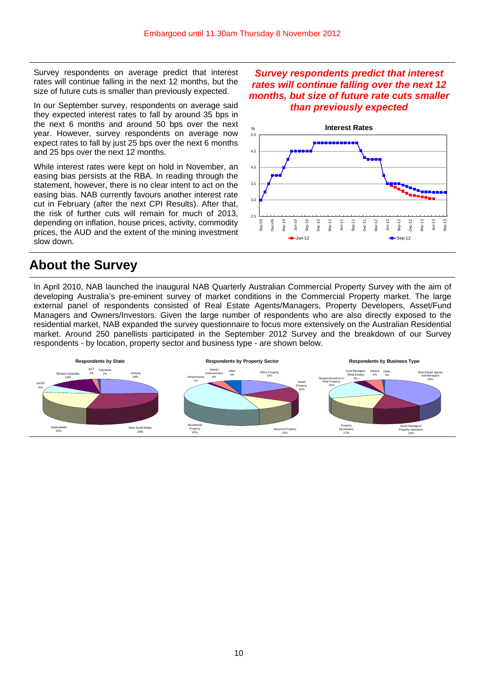Survey respondents on average predict that interest rates will continue falling in the next 12 months, but the size of future cuts is smaller than previously expected.

In our September survey, respondents on average said they expected interest rates to fall by around 35 bps in the next 6 months and around 50 bps over the next year. However, survey respondents on average now expect rates to fall by just 25 bps over the next 6 months and 25 bps over the next 12 months.

While interest rates were kept on hold in November, an easing bias persists at the RBA. In reading through the statement, however, there is no clear intent to act on the easing bias. NAB currently favours another interest rate cut in February (after the next CPI Results). After that, the risk of further cuts will remain for much of 2013, depending on inflation, house prices, activity, commodity prices, the AUD and the extent of the mining investment slow down.

*Survey respondents predict that interest rates will continue falling over the next 12 months, but size of future rate cuts smaller than previously expected* 



## **About the Survey**

In April 2010, NAB launched the inaugural NAB Quarterly Australian Commercial Property Survey with the aim of developing Australia's pre-eminent survey of market conditions in the Commercial Property market. The large external panel of respondents consisted of Real Estate Agents/Managers, Property Developers, Asset/Fund Managers and Owners/Investors. Given the large number of respondents who are also directly exposed to the residential market, NAB expanded the survey questionnaire to focus more extensively on the Australian Residential market. Around 250 panellists participated in the September 2012 Survey and the breakdown of our Survey respondents - by location, property sector and business type - are shown below.

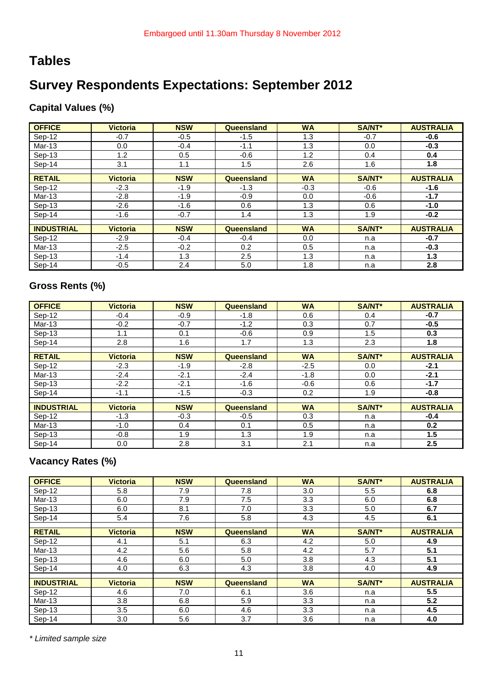# **Tables**

# **Survey Respondents Expectations: September 2012**

## **Capital Values (%)**

| <b>OFFICE</b>     | <b>Victoria</b> | <b>NSW</b> | Queensland | <b>WA</b> | <b>SA/NT*</b> | <b>AUSTRALIA</b> |
|-------------------|-----------------|------------|------------|-----------|---------------|------------------|
| Sep-12            | $-0.7$          | $-0.5$     | $-1.5$     | 1.3       | $-0.7$        | $-0.6$           |
| Mar-13            | 0.0             | $-0.4$     | $-1.1$     | 1.3       | 0.0           | $-0.3$           |
| Sep-13            | 1.2             | 0.5        | $-0.6$     | 1.2       | 0.4           | 0.4              |
| Sep-14            | 3.1             | 1.1        | 1.5        | 2.6       | 1.6           | 1.8              |
|                   |                 |            |            |           |               |                  |
| <b>RETAIL</b>     | <b>Victoria</b> | <b>NSW</b> | Queensland | <b>WA</b> | <b>SA/NT*</b> | <b>AUSTRALIA</b> |
| Sep-12            | $-2.3$          | $-1.9$     | $-1.3$     | $-0.3$    | $-0.6$        | $-1.6$           |
| Mar-13            | $-2.8$          | $-1.9$     | $-0.9$     | 0.0       | $-0.6$        | $-1.7$           |
| Sep-13            | $-2.6$          | $-1.6$     | 0.6        | 1.3       | 0.6           | $-1.0$           |
| Sep-14            | $-1.6$          | $-0.7$     | 1.4        | 1.3       | 1.9           | $-0.2$           |
|                   |                 |            |            |           |               |                  |
| <b>INDUSTRIAL</b> | <b>Victoria</b> | <b>NSW</b> | Queensland | <b>WA</b> | <b>SA/NT*</b> | <b>AUSTRALIA</b> |
| Sep-12            | $-2.9$          | $-0.4$     | $-0.4$     | 0.0       | n.a           | $-0.7$           |
| Mar-13            | $-2.5$          | $-0.2$     | 0.2        | 0.5       | n.a           | $-0.3$           |
| Sep-13            | $-1.4$          | 1.3        | 2.5        | 1.3       | n.a           | 1.3              |
| Sep-14            | $-0.5$          | 2.4        | 5.0        | 1.8       | n.a           | 2.8              |

## **Gross Rents (%)**

| <b>OFFICE</b>     | <b>Victoria</b> | <b>NSW</b> | Queensland | <b>WA</b> | <b>SA/NT*</b> | <b>AUSTRALIA</b> |
|-------------------|-----------------|------------|------------|-----------|---------------|------------------|
| Sep-12            | $-0.4$          | $-0.9$     | $-1.8$     | 0.6       | 0.4           | $-0.7$           |
| Mar-13            | $-0.2$          | $-0.7$     | $-1.2$     | 0.3       | 0.7           | $-0.5$           |
| Sep-13            | 1.1             | 0.1        | $-0.6$     | 0.9       | 1.5           | 0.3              |
| Sep-14            | 2.8             | 1.6        | 1.7        | 1.3       | 2.3           | 1.8              |
|                   |                 |            |            |           |               |                  |
| <b>RETAIL</b>     | <b>Victoria</b> | <b>NSW</b> | Queensland | <b>WA</b> | SA/NT*        | <b>AUSTRALIA</b> |
| Sep-12            | $-2.3$          | $-1.9$     | $-2.8$     | $-2.5$    | 0.0           | $-2.1$           |
| Mar-13            | $-2.4$          | $-2.1$     | $-2.4$     | $-1.8$    | 0.0           | $-2.1$           |
| Sep-13            | $-2.2$          | $-2.1$     | $-1.6$     | $-0.6$    | 0.6           | $-1.7$           |
| Sep-14            | $-1.1$          | $-1.5$     | $-0.3$     | 0.2       | 1.9           | $-0.8$           |
|                   |                 |            |            |           |               |                  |
| <b>INDUSTRIAL</b> | <b>Victoria</b> | <b>NSW</b> | Queensland | <b>WA</b> | <b>SA/NT*</b> | <b>AUSTRALIA</b> |
| Sep-12            | $-1.3$          | $-0.3$     | $-0.5$     | 0.3       | n.a           | $-0.4$           |
| Mar-13            | $-1.0$          | 0.4        | 0.1        | 0.5       | n.a           | 0.2              |
| Sep-13            | $-0.8$          | 1.9        | 1.3        | 1.9       | n.a           | 1.5              |
| Sep-14            | 0.0             | 2.8        | 3.1        | 2.1       | n.a           | 2.5              |

## **Vacancy Rates (%)**

| <b>OFFICE</b>     | <b>Victoria</b> | <b>NSW</b> | Queensland | <b>WA</b> | <b>SA/NT*</b> | <b>AUSTRALIA</b> |
|-------------------|-----------------|------------|------------|-----------|---------------|------------------|
| Sep-12            | 5.8             | 7.9        | 7.8        | 3.0       | 5.5           | 6.8              |
| Mar-13            | 6.0             | 7.9        | 7.5        | 3.3       | 6.0           | 6.8              |
| Sep-13            | 6.0             | 8.1        | 7.0        | 3.3       | 5.0           | 6.7              |
| Sep-14            | 5.4             | 7.6        | 5.8        | 4.3       | 4.5           | 6.1              |
|                   |                 |            |            |           |               |                  |
| <b>RETAIL</b>     | <b>Victoria</b> | <b>NSW</b> | Queensland | <b>WA</b> | SA/NT*        | <b>AUSTRALIA</b> |
| Sep-12            | 4.1             | 5.1        | 6.3        | 4.2       | 5.0           | 4.9              |
| Mar-13            | 4.2             | 5.6        | 5.8        | 4.2       | 5.7           | 5.1              |
| Sep-13            | 4.6             | 6.0        | 5.0        | 3.8       | 4.3           | 5.1              |
| Sep-14            | 4.0             | 6.3        | 4.3        | 3.8       | 4.0           | 4.9              |
|                   |                 |            |            |           |               |                  |
| <b>INDUSTRIAL</b> | <b>Victoria</b> | <b>NSW</b> | Queensland | <b>WA</b> | SA/NT*        | <b>AUSTRALIA</b> |
| Sep-12            | 4.6             | 7.0        | 6.1        | 3.6       | n.a           | 5.5              |
| Mar-13            | 3.8             | 6.8        | 5.9        | 3.3       | n.a           | 5.2              |
| Sep-13            | 3.5             | 6.0        | 4.6        | 3.3       | n.a           | 4.5              |
| Sep-14            | 3.0             | 5.6        | 3.7        | 3.6       | n.a           | 4.0              |

*\* Limited sample size*